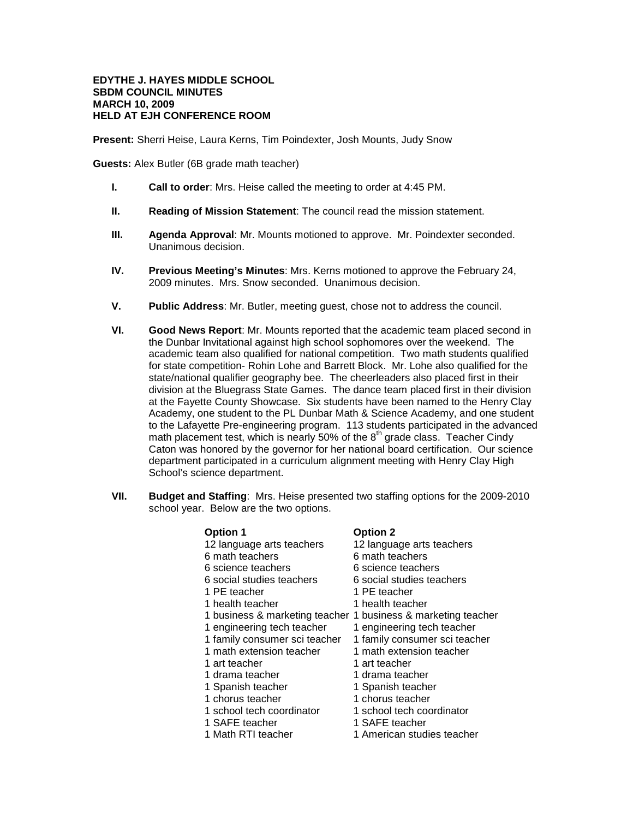## **EDYTHE J. HAYES MIDDLE SCHOOL SBDM COUNCIL MINUTES MARCH 10, 2009 HELD AT EJH CONFERENCE ROOM**

**Present:** Sherri Heise, Laura Kerns, Tim Poindexter, Josh Mounts, Judy Snow

**Guests:** Alex Butler (6B grade math teacher)

- **I. Call to order**: Mrs. Heise called the meeting to order at 4:45 PM.
- **II. Reading of Mission Statement**: The council read the mission statement.
- **III. Agenda Approval**: Mr. Mounts motioned to approve. Mr. Poindexter seconded. Unanimous decision.
- **IV. Previous Meeting's Minutes**: Mrs. Kerns motioned to approve the February 24, 2009 minutes. Mrs. Snow seconded. Unanimous decision.
- **V. Public Address**: Mr. Butler, meeting guest, chose not to address the council.
- **VI. Good News Report**: Mr. Mounts reported that the academic team placed second in the Dunbar Invitational against high school sophomores over the weekend. The academic team also qualified for national competition. Two math students qualified for state competition- Rohin Lohe and Barrett Block. Mr. Lohe also qualified for the state/national qualifier geography bee. The cheerleaders also placed first in their division at the Bluegrass State Games. The dance team placed first in their division at the Fayette County Showcase. Six students have been named to the Henry Clay Academy, one student to the PL Dunbar Math & Science Academy, and one student to the Lafayette Pre-engineering program. 113 students participated in the advanced math placement test, which is nearly 50% of the  $8<sup>th</sup>$  grade class. Teacher Cindy Caton was honored by the governor for her national board certification. Our science department participated in a curriculum alignment meeting with Henry Clay High School's science department.
- **VII. Budget and Staffing**: Mrs. Heise presented two staffing options for the 2009-2010 school year. Below are the two options.

| <b>Option 1</b>                | <b>Option 2</b>                |  |
|--------------------------------|--------------------------------|--|
| 12 language arts teachers      | 12 language arts teachers      |  |
| 6 math teachers                | 6 math teachers                |  |
| 6 science teachers             | 6 science teachers             |  |
| 6 social studies teachers      | 6 social studies teachers      |  |
| 1 PE teacher                   | 1 PE teacher                   |  |
| 1 health teacher               | 1 health teacher               |  |
| 1 business & marketing teacher | 1 business & marketing teacher |  |
| 1 engineering tech teacher     | 1 engineering tech teacher     |  |
| 1 family consumer sci teacher  | 1 family consumer sci teacher  |  |
| 1 math extension teacher       | 1 math extension teacher       |  |
| 1 art teacher                  | 1 art teacher                  |  |
| 1 drama teacher                | 1 drama teacher                |  |
| 1 Spanish teacher              | 1 Spanish teacher              |  |
| 1 chorus teacher               | 1 chorus teacher               |  |
| 1 school tech coordinator      | 1 school tech coordinator      |  |
| 1 SAFE teacher                 | 1 SAFE teacher                 |  |
| 1 Math RTI teacher             | 1 American studies teacher     |  |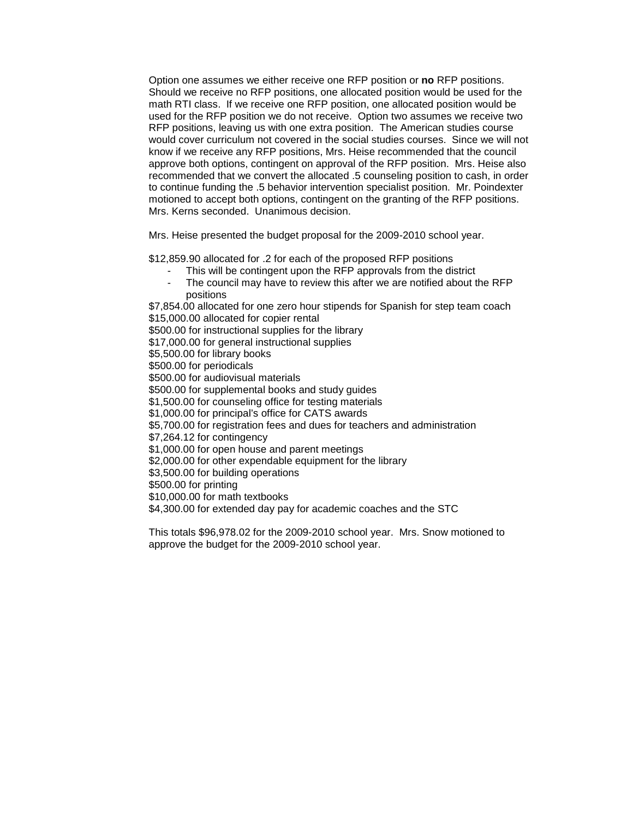Option one assumes we either receive one RFP position or **no** RFP positions. Should we receive no RFP positions, one allocated position would be used for the math RTI class. If we receive one RFP position, one allocated position would be used for the RFP position we do not receive. Option two assumes we receive two RFP positions, leaving us with one extra position.The American studies course would cover curriculum not covered in the social studies courses. Since we will not know if we receive any RFP positions, Mrs. Heise recommended that the council approve both options, contingent on approval of the RFP position. Mrs. Heise also recommended that we convert the allocated .5 counseling position to cash, in order to continue funding the .5 behavior intervention specialist position. Mr. Poindexter motioned to accept both options, contingent on the granting of the RFP positions. Mrs. Kerns seconded. Unanimous decision.

Mrs. Heise presented the budget proposal for the 2009-2010 school year.

\$12,859.90 allocated for .2 for each of the proposed RFP positions

- This will be contingent upon the RFP approvals from the district
- The council may have to review this after we are notified about the RFP positions

\$7,854.00 allocated for one zero hour stipends for Spanish for step team coach \$15,000.00 allocated for copier rental

\$500.00 for instructional supplies for the library

\$17,000.00 for general instructional supplies

\$5,500.00 for library books

\$500.00 for periodicals

\$500.00 for audiovisual materials

\$500.00 for supplemental books and study guides

\$1,500.00 for counseling office for testing materials

\$1,000.00 for principal's office for CATS awards

\$5,700.00 for registration fees and dues for teachers and administration

\$7,264.12 for contingency

\$1,000.00 for open house and parent meetings

\$2,000.00 for other expendable equipment for the library

\$3,500.00 for building operations

\$500.00 for printing

\$10,000.00 for math textbooks

\$4,300.00 for extended day pay for academic coaches and the STC

This totals \$96,978.02 for the 2009-2010 school year. Mrs. Snow motioned to approve the budget for the 2009-2010 school year.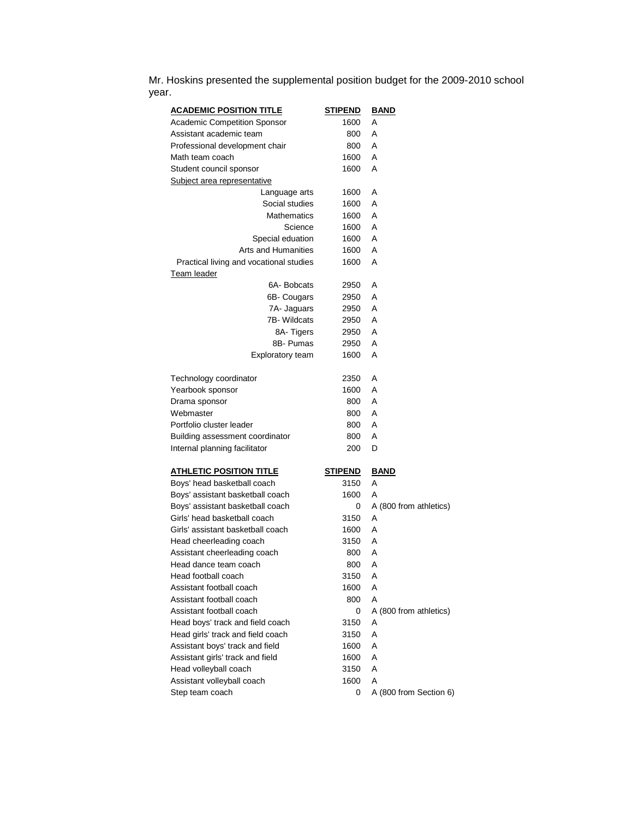Mr. Hoskins presented the supplemental position budget for the 2009-2010 school year.

| <b>ACADEMIC POSITION TITLE</b>          | <b>STIPEND</b> | <b>BAND</b>            |
|-----------------------------------------|----------------|------------------------|
| <b>Academic Competition Sponsor</b>     | 1600           | Α                      |
| Assistant academic team                 | 800            | A                      |
| Professional development chair          | 800            | A                      |
| Math team coach                         | 1600           | A                      |
| Student council sponsor                 | 1600           | A                      |
| Subject area representative             |                |                        |
| Language arts                           | 1600           | A                      |
| Social studies                          | 1600           | Α                      |
| <b>Mathematics</b>                      | 1600           | A                      |
| Science                                 | 1600           | A                      |
| Special eduation                        | 1600           | A                      |
| Arts and Humanities                     | 1600           | A                      |
| Practical living and vocational studies | 1600           | A                      |
| Team leader                             |                |                        |
| 6A-Bobcats                              | 2950           | A                      |
| 6B- Cougars                             | 2950           | Α                      |
| 7A- Jaguars                             | 2950           | A                      |
| 7B-Wildcats                             | 2950           | A                      |
| 8A-Tigers                               | 2950           | A                      |
| 8B- Pumas                               | 2950           | A                      |
| <b>Exploratory team</b>                 | 1600           | A                      |
|                                         |                |                        |
| Technology coordinator                  | 2350           | A                      |
| Yearbook sponsor                        | 1600           | A                      |
| Drama sponsor                           | 800            | A                      |
| Webmaster                               | 800            | A                      |
| Portfolio cluster leader                | 800            | A                      |
| Building assessment coordinator         | 800            | A                      |
| Internal planning facilitator           | 200            | D                      |
|                                         |                |                        |
| <u>ATHLETIC POSITION TITLE</u>          | <b>STIPEND</b> | <b>BAND</b>            |
| Boys' head basketball coach             | 3150           | A                      |
| Boys' assistant basketball coach        | 1600           | Α                      |
| Boys' assistant basketball coach        | 0              | A (800 from athletics) |
| Girls' head basketball coach            | 3150           | A                      |
| Girls' assistant basketball coach       | 1600           | A                      |
| Head cheerleading coach                 | 3150           | A                      |
| Assistant cheerleading coach            | 800            | Α                      |
| Head dance team coach                   | 800            | A                      |
| Head football coach                     | 3150           | Α                      |
| Assistant football coach                | 1600           | A                      |
| Assistant football coach                | 800            | A                      |
| Assistant football coach                | 0              | A (800 from athletics) |
| Head boys' track and field coach        | 3150           | A                      |
| Head girls' track and field coach       | 3150           | A                      |
| Assistant boys' track and field         | 1600           | A                      |
| Assistant girls' track and field        | 1600           | A                      |
| Head volleyball coach                   | 3150           | A                      |
| Assistant volleyball coach              | 1600           | A                      |
| Step team coach                         | 0              | A (800 from Section 6) |
|                                         |                |                        |